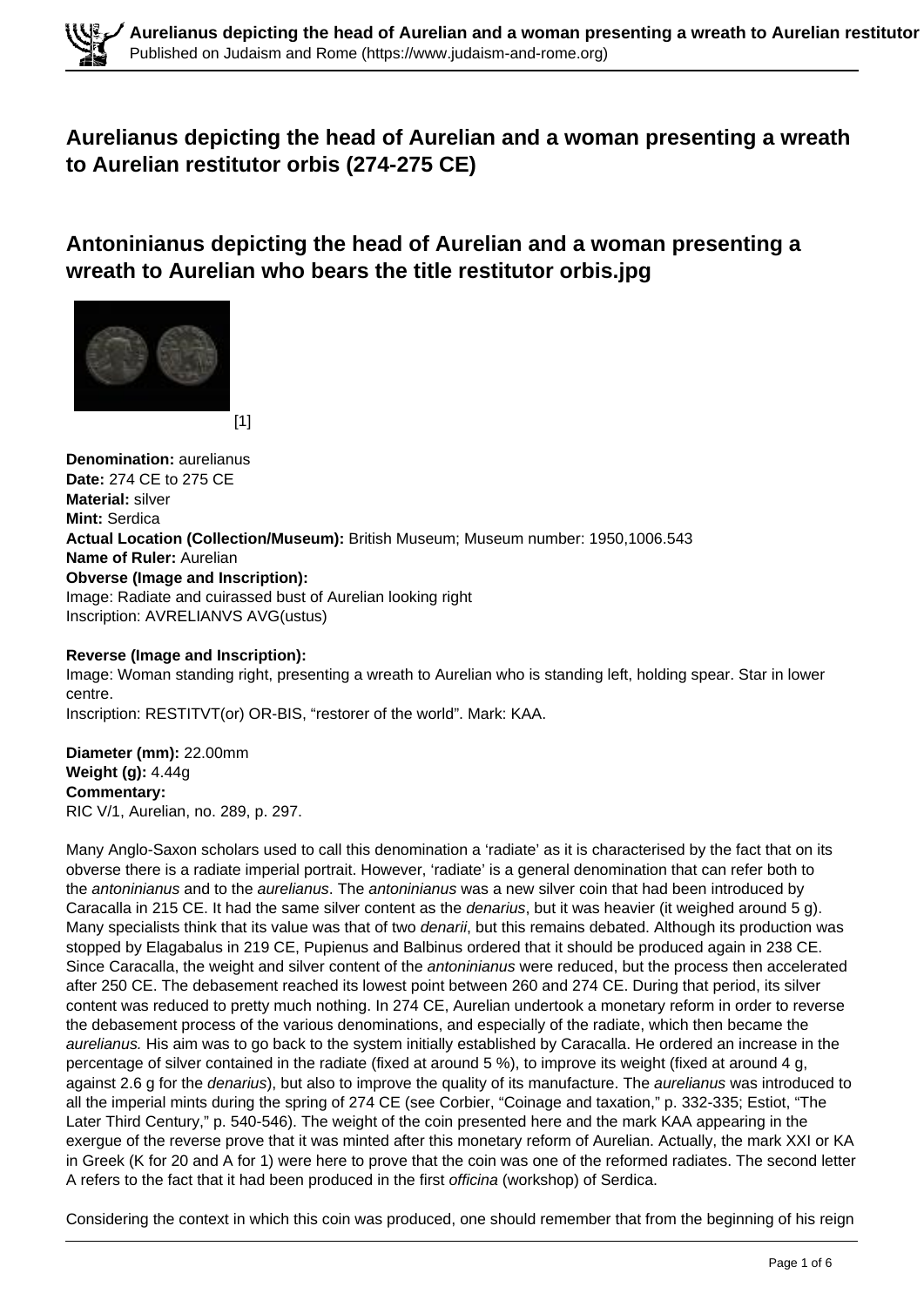# **Aurelianus depicting the head of Aurelian and a woman presenting a wreath to Aurelian restitutor orbis (274-275 CE)**

**Antoninianus depicting the head of Aurelian and a woman presenting a wreath to Aurelian who bears the title restitutor orbis.jpg**



[1]

**Denomination:** aurelianus **Date:** 274 CE to 275 CE **Material:** silver **Mint:** Serdica **Actual Location (Collection/Museum):** British Museum; Museum number: 1950,1006.543 **Name of Ruler:** Aurelian **Obverse (Image and Inscription):**  Image: Radiate and cuirassed bust of Aurelian looking right Inscription: AVRELIANVS AVG(ustus)

### **Reverse (Image and Inscription):**

Image: Woman standing right, presenting a wreath to Aurelian who is standing left, holding spear. Star in lower centre.

Inscription: RESTITVT(or) OR-BIS, "restorer of the world". Mark: KAA.

**Diameter (mm):** 22.00mm **Weight (g):** 4.44g **Commentary:**  RIC V/1, Aurelian, no. 289, p. 297.

Many Anglo-Saxon scholars used to call this denomination a 'radiate' as it is characterised by the fact that on its obverse there is a radiate imperial portrait. However, 'radiate' is a general denomination that can refer both to the antoninianus and to the aurelianus. The antoninianus was a new silver coin that had been introduced by Caracalla in 215 CE. It had the same silver content as the denarius, but it was heavier (it weighed around 5 g). Many specialists think that its value was that of two *denarii*, but this remains debated. Although its production was stopped by Elagabalus in 219 CE, Pupienus and Balbinus ordered that it should be produced again in 238 CE. Since Caracalla, the weight and silver content of the *antoninianus* were reduced, but the process then accelerated after 250 CE. The debasement reached its lowest point between 260 and 274 CE. During that period, its silver content was reduced to pretty much nothing. In 274 CE, Aurelian undertook a monetary reform in order to reverse the debasement process of the various denominations, and especially of the radiate, which then became the aurelianus. His aim was to go back to the system initially established by Caracalla. He ordered an increase in the percentage of silver contained in the radiate (fixed at around 5 %), to improve its weight (fixed at around 4 g, against 2.6 g for the *denarius*), but also to improve the quality of its manufacture. The *aurelianus* was introduced to all the imperial mints during the spring of 274 CE (see Corbier, "Coinage and taxation," p. 332-335; Estiot, "The Later Third Century," p. 540-546). The weight of the coin presented here and the mark KAA appearing in the exergue of the reverse prove that it was minted after this monetary reform of Aurelian. Actually, the mark XXI or KA in Greek (K for 20 and A for 1) were here to prove that the coin was one of the reformed radiates. The second letter A refers to the fact that it had been produced in the first officina (workshop) of Serdica.

Considering the context in which this coin was produced, one should remember that from the beginning of his reign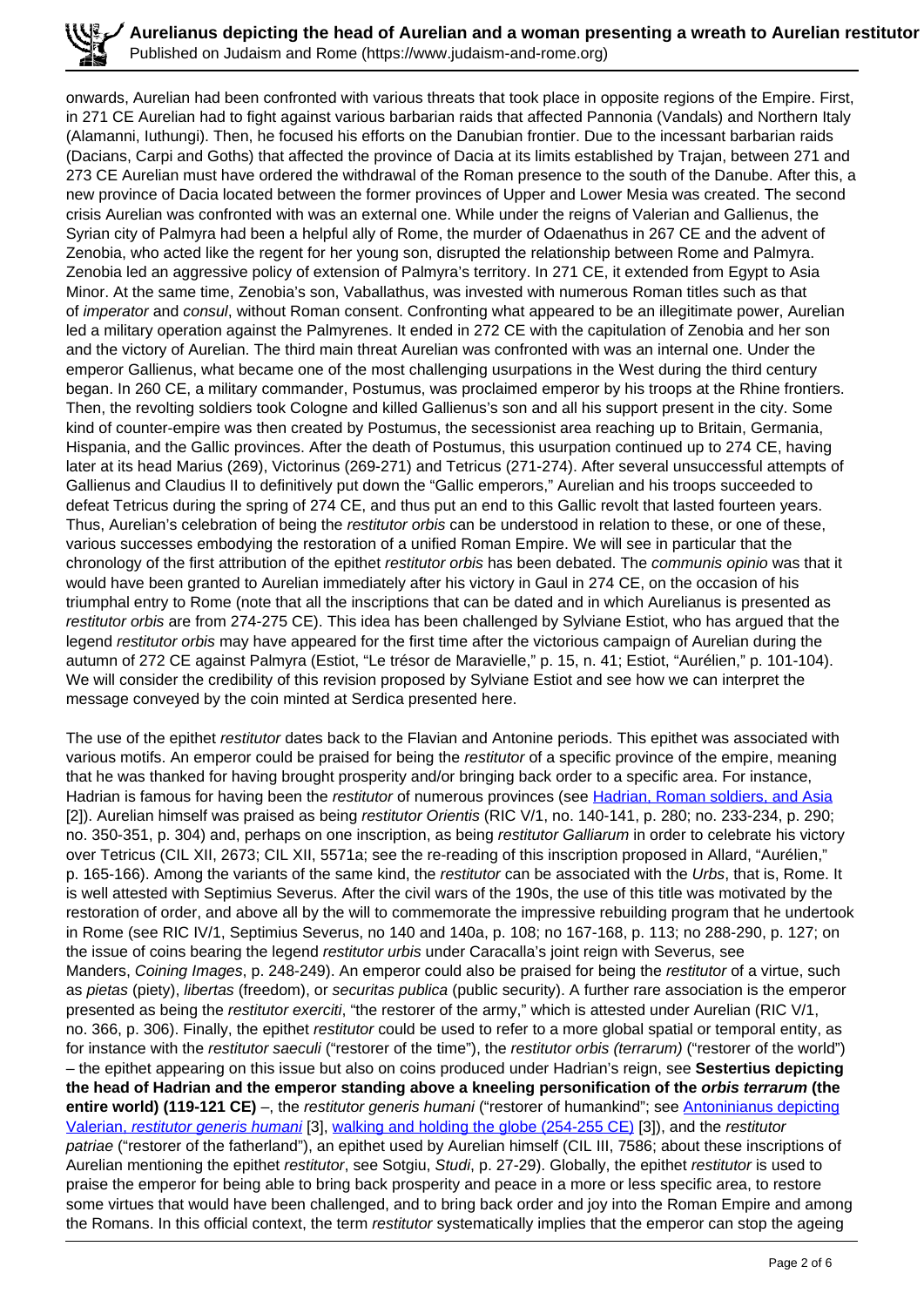**Aurelianus depicting the head of Aurelian and a woman presenting a wreath to Aurelian restitutor**  $\ell$ Published on Judaism and Rome (https://www.judaism-and-rome.org)

onwards, Aurelian had been confronted with various threats that took place in opposite regions of the Empire. First, in 271 CE Aurelian had to fight against various barbarian raids that affected Pannonia (Vandals) and Northern Italy (Alamanni, Iuthungi). Then, he focused his efforts on the Danubian frontier. Due to the incessant barbarian raids (Dacians, Carpi and Goths) that affected the province of Dacia at its limits established by Trajan, between 271 and 273 CE Aurelian must have ordered the withdrawal of the Roman presence to the south of the Danube. After this, a new province of Dacia located between the former provinces of Upper and Lower Mesia was created. The second crisis Aurelian was confronted with was an external one. While under the reigns of Valerian and Gallienus, the Syrian city of Palmyra had been a helpful ally of Rome, the murder of Odaenathus in 267 CE and the advent of Zenobia, who acted like the regent for her young son, disrupted the relationship between Rome and Palmyra. Zenobia led an aggressive policy of extension of Palmyra's territory. In 271 CE, it extended from Egypt to Asia Minor. At the same time, Zenobia's son, Vaballathus, was invested with numerous Roman titles such as that of imperator and consul, without Roman consent. Confronting what appeared to be an illegitimate power, Aurelian led a military operation against the Palmyrenes. It ended in 272 CE with the capitulation of Zenobia and her son and the victory of Aurelian. The third main threat Aurelian was confronted with was an internal one. Under the emperor Gallienus, what became one of the most challenging usurpations in the West during the third century began. In 260 CE, a military commander, Postumus, was proclaimed emperor by his troops at the Rhine frontiers. Then, the revolting soldiers took Cologne and killed Gallienus's son and all his support present in the city. Some kind of counter-empire was then created by Postumus, the secessionist area reaching up to Britain, Germania, Hispania, and the Gallic provinces. After the death of Postumus, this usurpation continued up to 274 CE, having later at its head Marius (269), Victorinus (269-271) and Tetricus (271-274). After several unsuccessful attempts of Gallienus and Claudius II to definitively put down the "Gallic emperors," Aurelian and his troops succeeded to defeat Tetricus during the spring of 274 CE, and thus put an end to this Gallic revolt that lasted fourteen years. Thus, Aurelian's celebration of being the restitutor orbis can be understood in relation to these, or one of these, various successes embodying the restoration of a unified Roman Empire. We will see in particular that the chronology of the first attribution of the epithet restitutor orbis has been debated. The communis opinio was that it would have been granted to Aurelian immediately after his victory in Gaul in 274 CE, on the occasion of his triumphal entry to Rome (note that all the inscriptions that can be dated and in which Aurelianus is presented as restitutor orbis are from 274-275 CE). This idea has been challenged by Sylviane Estiot, who has argued that the legend restitutor orbis may have appeared for the first time after the victorious campaign of Aurelian during the autumn of 272 CE against Palmyra (Estiot, "Le trésor de Maravielle," p. 15, n. 41; Estiot, "Aurélien," p. 101-104). We will consider the credibility of this revision proposed by Sylviane Estiot and see how we can interpret the message conveyed by the coin minted at Serdica presented here.

The use of the epithet restitutor dates back to the Flavian and Antonine periods. This epithet was associated with various motifs. An emperor could be praised for being the restitutor of a specific province of the empire, meaning that he was thanked for having brought prosperity and/or bringing back order to a specific area. For instance, Hadrian is famous for having been the restitutor of numerous provinces (see Hadrian, Roman soldiers, and Asia [2]). Aurelian himself was praised as being restitutor Orientis (RIC V/1, no. 140-141, p. 280; no. 233-234, p. 290; no. 350-351, p. 304) and, perhaps on one inscription, as being restitutor Galliarum in order to celebrate his victory over Tetricus (CIL XII, 2673; CIL XII, 5571a; see the re-reading of this inscription proposed in Allard, "Aurélien," p. 165-166). Among the variants of the same kind, the restitutor can be associated with the Urbs, that is, Rome. It is well attested with Septimius Severus. After the civil wars of the 190s, the use of this title was motivated by the restoration of order, and above all by the will to commemorate the impressive rebuilding program that he undertook in Rome (see RIC IV/1, Septimius Severus, no 140 and 140a, p. 108; no 167-168, p. 113; no 288-290, p. 127; on the issue of coins bearing the legend restitutor urbis under Caracalla's joint reign with Severus, see Manders, Coining Images, p. 248-249). An emperor could also be praised for being the restitutor of a virtue, such as pietas (piety), libertas (freedom), or securitas publica (public security). A further rare association is the emperor presented as being the restitutor exerciti, "the restorer of the army," which is attested under Aurelian (RIC V/1, no. 366, p. 306). Finally, the epithet restitutor could be used to refer to a more global spatial or temporal entity, as for instance with the restitutor saeculi ("restorer of the time"), the restitutor orbis (terrarum) ("restorer of the world") – the epithet appearing on this issue but also on coins produced under Hadrian's reign, see **Sestertius depicting the head of Hadrian and the emperor standing above a kneeling personification of the orbis terrarum (the entire world) (119-121 CE)** –, the restitutor generis humani ("restorer of humankind"; see Antoninianus depicting Valerian, restitutor generis humani [3], walking and holding the globe (254-255 CE) [3]), and the restitutor patriae ("restorer of the fatherland"), an epithet used by Aurelian himself (CIL III, 7586; about these inscriptions of Aurelian mentioning the epithet restitutor, see Sotgiu, Studi, p. 27-29). Globally, the epithet restitutor is used to praise the emperor for being able to bring back prosperity and peace in a more or less specific area, to restore some virtues that would have been challenged, and to bring back order and joy into the Roman Empire and among the Romans. In this official context, the term restitutor systematically implies that the emperor can stop the ageing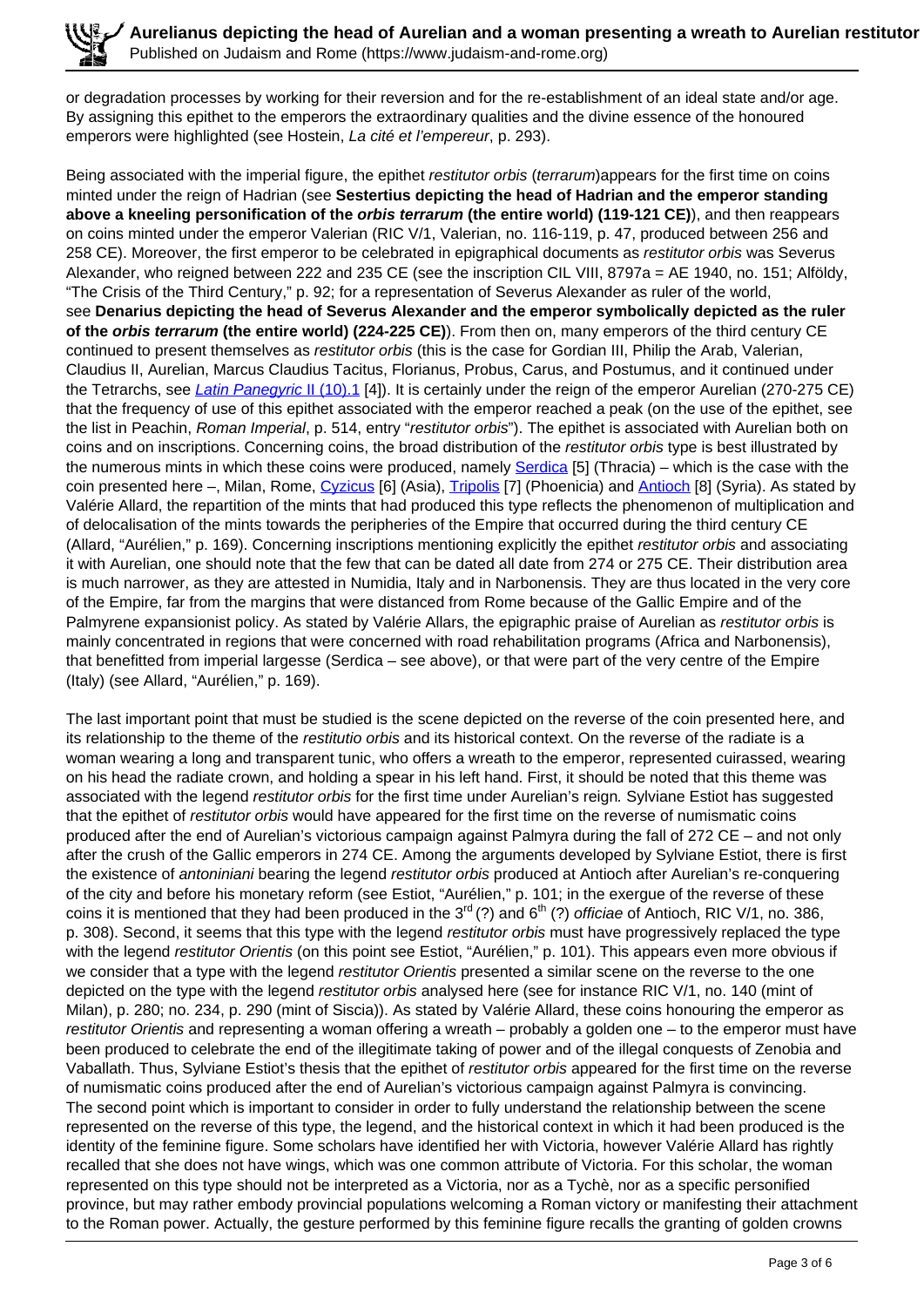or degradation processes by working for their reversion and for the re-establishment of an ideal state and/or age. By assigning this epithet to the emperors the extraordinary qualities and the divine essence of the honoured emperors were highlighted (see Hostein, La cité et l'empereur, p. 293).

Being associated with the imperial figure, the epithet restitutor orbis (terrarum)appears for the first time on coins minted under the reign of Hadrian (see **Sestertius depicting the head of Hadrian and the emperor standing above a kneeling personification of the orbis terrarum (the entire world) (119-121 CE)**), and then reappears on coins minted under the emperor Valerian (RIC V/1, Valerian, no. 116-119, p. 47, produced between 256 and 258 CE). Moreover, the first emperor to be celebrated in epigraphical documents as restitutor orbis was Severus Alexander, who reigned between 222 and 235 CE (see the inscription CIL VIII, 8797a = AE 1940, no. 151; Alföldy, "The Crisis of the Third Century," p. 92; for a representation of Severus Alexander as ruler of the world, see **Denarius depicting the head of Severus Alexander and the emperor symbolically depicted as the ruler of the orbis terrarum (the entire world) (224-225 CE)**). From then on, many emperors of the third century CE continued to present themselves as restitutor orbis (this is the case for Gordian III, Philip the Arab, Valerian, Claudius II, Aurelian, Marcus Claudius Tacitus, Florianus, Probus, Carus, and Postumus, and it continued under the Tetrarchs, see *Latin Panegyric II (10).1* [4]). It is certainly under the reign of the emperor Aurelian (270-275 CE) that the frequency of use of this epithet associated with the emperor reached a peak (on the use of the epithet, see the list in Peachin, Roman Imperial, p. 514, entry "restitutor orbis"). The epithet is associated with Aurelian both on coins and on inscriptions. Concerning coins, the broad distribution of the restitutor orbis type is best illustrated by the numerous mints in which these coins were produced, namely Serdica [5] (Thracia) – which is the case with the coin presented here –, Milan, Rome, Cyzicus [6] (Asia), Tripolis [7] (Phoenicia) and Antioch [8] (Syria). As stated by Valérie Allard, the repartition of the mints that had produced this type reflects the phenomenon of multiplication and of delocalisation of the mints towards the peripheries of the Empire that occurred during the third century CE (Allard, "Aurélien," p. 169). Concerning inscriptions mentioning explicitly the epithet restitutor orbis and associating it with Aurelian, one should note that the few that can be dated all date from 274 or 275 CE. Their distribution area is much narrower, as they are attested in Numidia, Italy and in Narbonensis. They are thus located in the very core of the Empire, far from the margins that were distanced from Rome because of the Gallic Empire and of the Palmyrene expansionist policy. As stated by Valérie Allars, the epigraphic praise of Aurelian as restitutor orbis is mainly concentrated in regions that were concerned with road rehabilitation programs (Africa and Narbonensis), that benefitted from imperial largesse (Serdica – see above), or that were part of the very centre of the Empire (Italy) (see Allard, "Aurélien," p. 169).

The last important point that must be studied is the scene depicted on the reverse of the coin presented here, and its relationship to the theme of the *restitutio orbis* and its historical context. On the reverse of the radiate is a woman wearing a long and transparent tunic, who offers a wreath to the emperor, represented cuirassed, wearing on his head the radiate crown, and holding a spear in his left hand. First, it should be noted that this theme was associated with the legend *restitutor orbis* for the first time under Aurelian's reign. Sylviane Estiot has suggested that the epithet of restitutor orbis would have appeared for the first time on the reverse of numismatic coins produced after the end of Aurelian's victorious campaign against Palmyra during the fall of 272 CE – and not only after the crush of the Gallic emperors in 274 CE. Among the arguments developed by Sylviane Estiot, there is first the existence of antoniniani bearing the legend restitutor orbis produced at Antioch after Aurelian's re-conquering of the city and before his monetary reform (see Estiot, "Aurélien," p. 101; in the exergue of the reverse of these coins it is mentioned that they had been produced in the  $3^{rd}$  (?) and  $6^{th}$  (?) officiae of Antioch, RIC V/1, no. 386, p. 308). Second, it seems that this type with the legend restitutor orbis must have progressively replaced the type with the legend restitutor Orientis (on this point see Estiot, "Aurélien," p. 101). This appears even more obvious if we consider that a type with the legend restitutor Orientis presented a similar scene on the reverse to the one depicted on the type with the legend restitutor orbis analysed here (see for instance RIC V/1, no. 140 (mint of Milan), p. 280; no. 234, p. 290 (mint of Siscia)). As stated by Valérie Allard, these coins honouring the emperor as restitutor Orientis and representing a woman offering a wreath – probably a golden one – to the emperor must have been produced to celebrate the end of the illegitimate taking of power and of the illegal conquests of Zenobia and Vaballath. Thus, Sylviane Estiot's thesis that the epithet of restitutor orbis appeared for the first time on the reverse of numismatic coins produced after the end of Aurelian's victorious campaign against Palmyra is convincing. The second point which is important to consider in order to fully understand the relationship between the scene represented on the reverse of this type, the legend, and the historical context in which it had been produced is the identity of the feminine figure. Some scholars have identified her with Victoria, however Valérie Allard has rightly recalled that she does not have wings, which was one common attribute of Victoria. For this scholar, the woman represented on this type should not be interpreted as a Victoria, nor as a Tychè, nor as a specific personified province, but may rather embody provincial populations welcoming a Roman victory or manifesting their attachment to the Roman power. Actually, the gesture performed by this feminine figure recalls the granting of golden crowns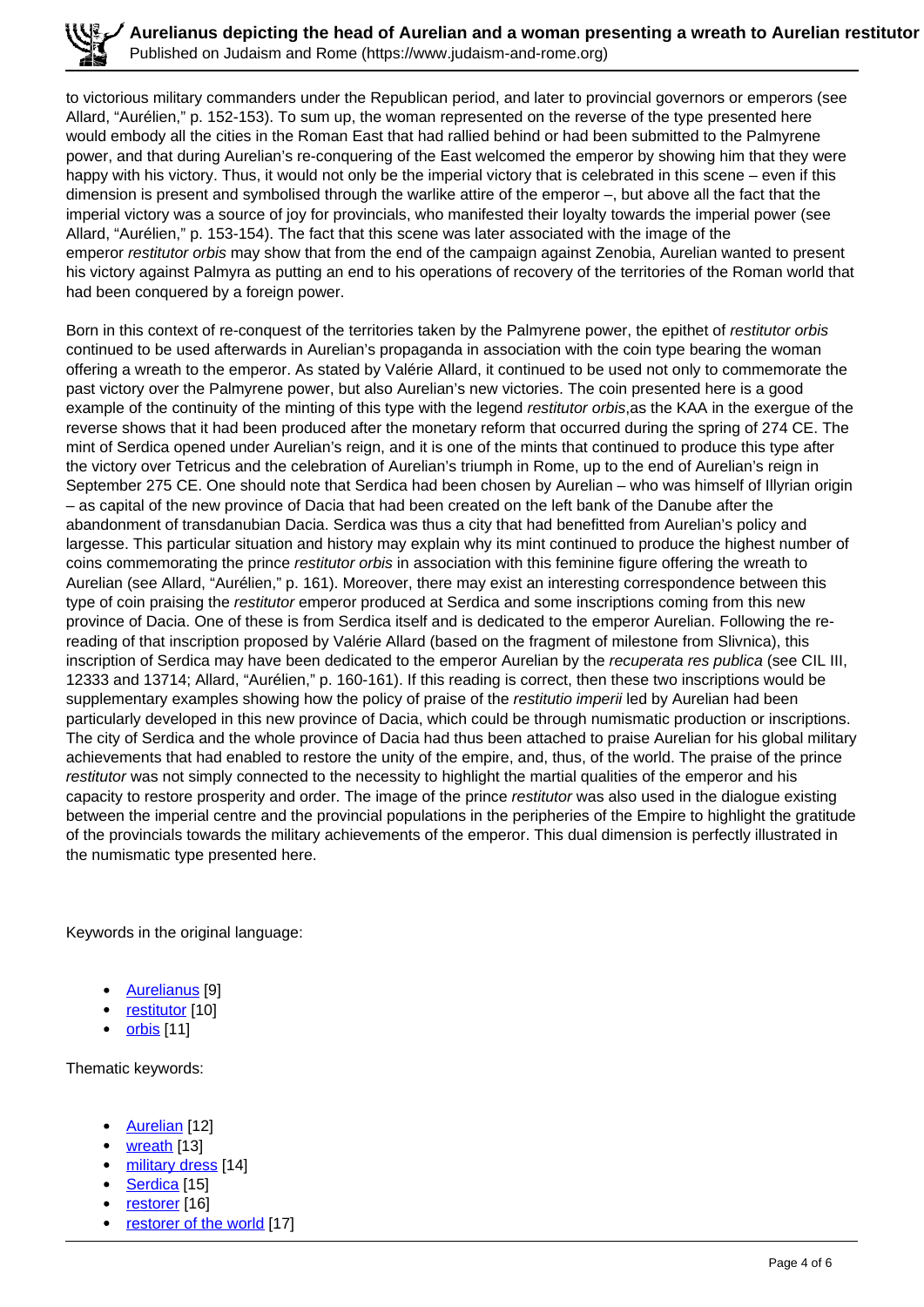to victorious military commanders under the Republican period, and later to provincial governors or emperors (see Allard, "Aurélien," p. 152-153). To sum up, the woman represented on the reverse of the type presented here would embody all the cities in the Roman East that had rallied behind or had been submitted to the Palmyrene power, and that during Aurelian's re-conquering of the East welcomed the emperor by showing him that they were happy with his victory. Thus, it would not only be the imperial victory that is celebrated in this scene – even if this dimension is present and symbolised through the warlike attire of the emperor –, but above all the fact that the imperial victory was a source of joy for provincials, who manifested their loyalty towards the imperial power (see Allard, "Aurélien," p. 153-154). The fact that this scene was later associated with the image of the emperor restitutor orbis may show that from the end of the campaign against Zenobia, Aurelian wanted to present his victory against Palmyra as putting an end to his operations of recovery of the territories of the Roman world that had been conquered by a foreign power.

Born in this context of re-conquest of the territories taken by the Palmyrene power, the epithet of restitutor orbis continued to be used afterwards in Aurelian's propaganda in association with the coin type bearing the woman offering a wreath to the emperor. As stated by Valérie Allard, it continued to be used not only to commemorate the past victory over the Palmyrene power, but also Aurelian's new victories. The coin presented here is a good example of the continuity of the minting of this type with the legend restitutor orbis, as the KAA in the exergue of the reverse shows that it had been produced after the monetary reform that occurred during the spring of 274 CE. The mint of Serdica opened under Aurelian's reign, and it is one of the mints that continued to produce this type after the victory over Tetricus and the celebration of Aurelian's triumph in Rome, up to the end of Aurelian's reign in September 275 CE. One should note that Serdica had been chosen by Aurelian – who was himself of Illyrian origin – as capital of the new province of Dacia that had been created on the left bank of the Danube after the abandonment of transdanubian Dacia. Serdica was thus a city that had benefitted from Aurelian's policy and largesse. This particular situation and history may explain why its mint continued to produce the highest number of coins commemorating the prince restitutor orbis in association with this feminine figure offering the wreath to Aurelian (see Allard, "Aurélien," p. 161). Moreover, there may exist an interesting correspondence between this type of coin praising the restitutor emperor produced at Serdica and some inscriptions coming from this new province of Dacia. One of these is from Serdica itself and is dedicated to the emperor Aurelian. Following the rereading of that inscription proposed by Valérie Allard (based on the fragment of milestone from Slivnica), this inscription of Serdica may have been dedicated to the emperor Aurelian by the recuperata res publica (see CIL III, 12333 and 13714; Allard, "Aurélien," p. 160-161). If this reading is correct, then these two inscriptions would be supplementary examples showing how the policy of praise of the restitutio imperii led by Aurelian had been particularly developed in this new province of Dacia, which could be through numismatic production or inscriptions. The city of Serdica and the whole province of Dacia had thus been attached to praise Aurelian for his global military achievements that had enabled to restore the unity of the empire, and, thus, of the world. The praise of the prince restitutor was not simply connected to the necessity to highlight the martial qualities of the emperor and his capacity to restore prosperity and order. The image of the prince restitutor was also used in the dialogue existing between the imperial centre and the provincial populations in the peripheries of the Empire to highlight the gratitude of the provincials towards the military achievements of the emperor. This dual dimension is perfectly illustrated in the numismatic type presented here.

Keywords in the original language:

- Aurelianus [9]
- restitutor [10]
- orbis [11]

Thematic keywords:

- Aurelian [12]
- wreath [13]
- military dress [14]
- Serdica [15]
- restorer [16]
- restorer of the world [17]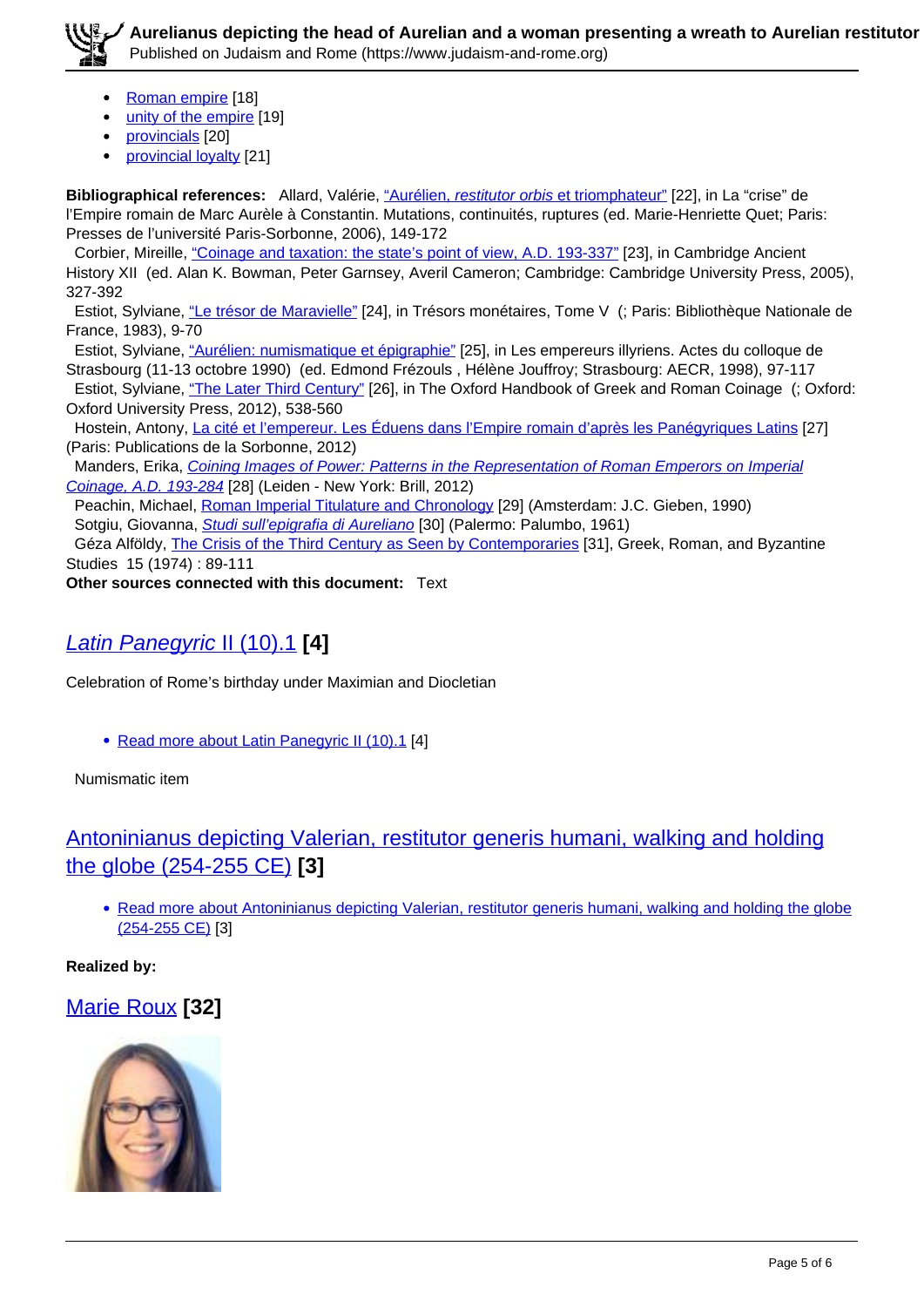**Aurelianus depicting the head of Aurelian and a woman presenting a wreath to Aurelian restitutor (274-2005)** Published on Judaism and Rome (https://www.judaism-and-rome.org)

- Roman empire [18]
- unity of the empire [19]
- provincials [20]
- provincial loyalty [21]

**Bibliographical references:** Allard, Valérie, "Aurélien, restitutor orbis et triomphateur" [22], in La "crise" de l'Empire romain de Marc Aurèle à Constantin. Mutations, continuités, ruptures (ed. Marie-Henriette Quet; Paris: Presses de l'université Paris-Sorbonne, 2006), 149-172

 Corbier, Mireille, "Coinage and taxation: the state's point of view, A.D. 193-337" [23], in Cambridge Ancient History XII (ed. Alan K. Bowman, Peter Garnsey, Averil Cameron; Cambridge: Cambridge University Press, 2005), 327-392

 Estiot, Sylviane, "Le trésor de Maravielle" [24], in Trésors monétaires, Tome V (; Paris: Bibliothèque Nationale de France, 1983), 9-70

Estiot, Sylviane, "Aurélien: numismatique et épigraphie" [25], in Les empereurs illyriens. Actes du colloque de Strasbourg (11-13 octobre 1990) (ed. Edmond Frézouls , Hélène Jouffroy; Strasbourg: AECR, 1998), 97-117

Estiot, Sylviane, "The Later Third Century" [26], in The Oxford Handbook of Greek and Roman Coinage (; Oxford: Oxford University Press, 2012), 538-560

Hostein, Antony, La cité et l'empereur. Les Éduens dans l'Empire romain d'après les Panégyriques Latins [27] (Paris: Publications de la Sorbonne, 2012)

Manders, Erika, Coining Images of Power: Patterns in the Representation of Roman Emperors on Imperial Coinage, A.D. 193-284 [28] (Leiden - New York: Brill, 2012)

 Peachin, Michael, Roman Imperial Titulature and Chronology [29] (Amsterdam: J.C. Gieben, 1990) Sotgiu, Giovanna, *Studi sull'epigrafia di Aureliano* [30] (Palermo: Palumbo, 1961)

 Géza Alföldy, The Crisis of the Third Century as Seen by Contemporaries [31], Greek, Roman, and Byzantine Studies 15 (1974) : 89-111

**Other sources connected with this document:** Text

## Latin Panegyric II (10).1 **[4]**

Celebration of Rome's birthday under Maximian and Diocletian

• Read more about Latin Panegyric II (10).1 [4]

Numismatic item

## Antoninianus depicting Valerian, restitutor generis humani, walking and holding the globe (254-255 CE) **[3]**

• Read more about Antoninianus depicting Valerian, restitutor generis humani, walking and holding the globe (254-255 CE) [3]

**Realized by:** 

### Marie Roux **[32]**